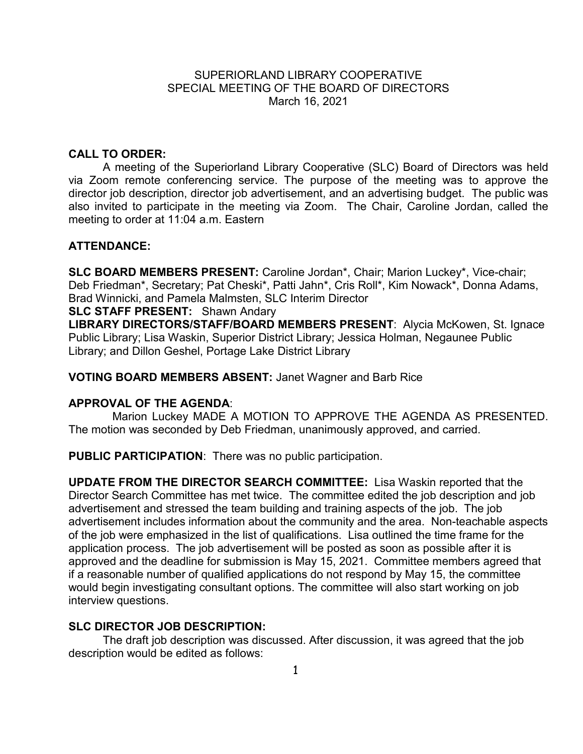## SUPERIORLAND LIBRARY COOPERATIVE SPECIAL MEETING OF THE BOARD OF DIRECTORS March 16, 2021

## **CALL TO ORDER:**

A meeting of the Superiorland Library Cooperative (SLC) Board of Directors was held via Zoom remote conferencing service. The purpose of the meeting was to approve the director job description, director job advertisement, and an advertising budget. The public was also invited to participate in the meeting via Zoom. The Chair, Caroline Jordan, called the meeting to order at 11:04 a.m. Eastern

### **ATTENDANCE:**

**SLC BOARD MEMBERS PRESENT:** Caroline Jordan\*, Chair; Marion Luckey\*, Vice-chair; Deb Friedman\*, Secretary; Pat Cheski\*, Patti Jahn\*, Cris Roll\*, Kim Nowack\*, Donna Adams, Brad Winnicki, and Pamela Malmsten, SLC Interim Director **SLC STAFF PRESENT:** Shawn Andary

**LIBRARY DIRECTORS/STAFF/BOARD MEMBERS PRESENT**: Alycia McKowen, St. Ignace Public Library; Lisa Waskin, Superior District Library; Jessica Holman, Negaunee Public Library; and Dillon Geshel, Portage Lake District Library

#### **VOTING BOARD MEMBERS ABSENT:** Janet Wagner and Barb Rice

#### **APPROVAL OF THE AGENDA**:

 Marion Luckey MADE A MOTION TO APPROVE THE AGENDA AS PRESENTED. The motion was seconded by Deb Friedman, unanimously approved, and carried.

**PUBLIC PARTICIPATION**: There was no public participation.

**UPDATE FROM THE DIRECTOR SEARCH COMMITTEE:** Lisa Waskin reported that the Director Search Committee has met twice. The committee edited the job description and job advertisement and stressed the team building and training aspects of the job. The job advertisement includes information about the community and the area. Non-teachable aspects of the job were emphasized in the list of qualifications. Lisa outlined the time frame for the application process. The job advertisement will be posted as soon as possible after it is approved and the deadline for submission is May 15, 2021. Committee members agreed that if a reasonable number of qualified applications do not respond by May 15, the committee would begin investigating consultant options. The committee will also start working on job interview questions.

#### **SLC DIRECTOR JOB DESCRIPTION:**

The draft job description was discussed. After discussion, it was agreed that the job description would be edited as follows: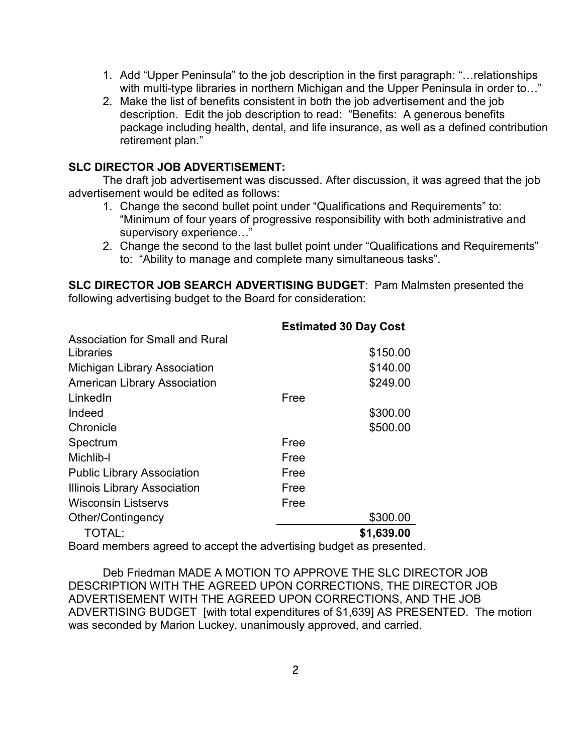- 1. Add "Upper Peninsula" to the job description in the first paragraph: "…relationships with multi-type libraries in northern Michigan and the Upper Peninsula in order to..."
- 2. Make the list of benefits consistent in both the job advertisement and the job description. Edit the job description to read: "Benefits: A generous benefits package including health, dental, and life insurance, as well as a defined contribution retirement plan."

# **SLC DIRECTOR JOB ADVERTISEMENT:**

The draft job advertisement was discussed. After discussion, it was agreed that the job advertisement would be edited as follows:

- 1. Change the second bullet point under "Qualifications and Requirements" to: "Minimum of four years of progressive responsibility with both administrative and supervisory experience…"
- 2. Change the second to the last bullet point under "Qualifications and Requirements" to: "Ability to manage and complete many simultaneous tasks".

**SLC DIRECTOR JOB SEARCH ADVERTISING BUDGET**: Pam Malmsten presented the following advertising budget to the Board for consideration:

|                                     | <b>Estimated 30 Day Cost</b> |            |
|-------------------------------------|------------------------------|------------|
| Association for Small and Rural     |                              |            |
| Libraries                           |                              | \$150.00   |
| <b>Michigan Library Association</b> |                              | \$140.00   |
| <b>American Library Association</b> |                              | \$249.00   |
| LinkedIn                            | Free                         |            |
| Indeed                              |                              | \$300.00   |
| Chronicle                           |                              | \$500.00   |
| Spectrum                            | Free                         |            |
| Michlib-I                           | Free                         |            |
| <b>Public Library Association</b>   | Free                         |            |
| <b>Illinois Library Association</b> | Free                         |            |
| <b>Wisconsin Listservs</b>          | Free                         |            |
| Other/Contingency                   |                              | \$300.00   |
| TOTAL:                              |                              | \$1,639.00 |
|                                     |                              |            |

Board members agreed to accept the advertising budget as presented.

Deb Friedman MADE A MOTION TO APPROVE THE SLC DIRECTOR JOB DESCRIPTION WITH THE AGREED UPON CORRECTIONS, THE DIRECTOR JOB ADVERTISEMENT WITH THE AGREED UPON CORRECTIONS, AND THE JOB ADVERTISING BUDGET [with total expenditures of \$1,639] AS PRESENTED. The motion was seconded by Marion Luckey, unanimously approved, and carried.